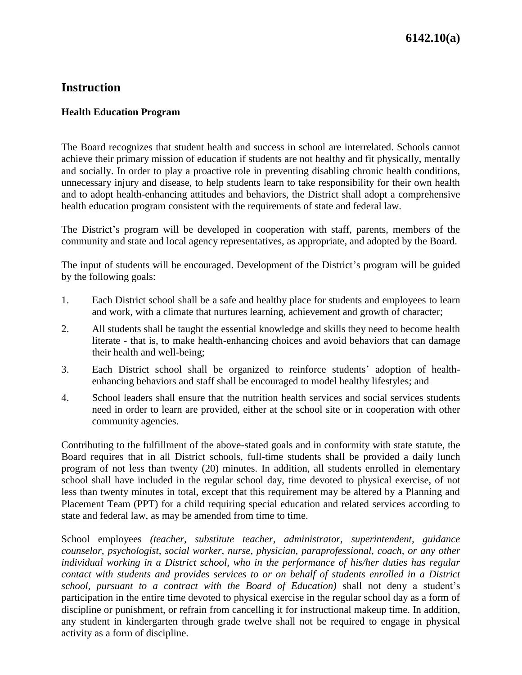## **Instruction**

## **Health Education Program**

The Board recognizes that student health and success in school are interrelated. Schools cannot achieve their primary mission of education if students are not healthy and fit physically, mentally and socially. In order to play a proactive role in preventing disabling chronic health conditions, unnecessary injury and disease, to help students learn to take responsibility for their own health and to adopt health-enhancing attitudes and behaviors, the District shall adopt a comprehensive health education program consistent with the requirements of state and federal law.

The District's program will be developed in cooperation with staff, parents, members of the community and state and local agency representatives, as appropriate, and adopted by the Board.

The input of students will be encouraged. Development of the District's program will be guided by the following goals:

- 1. Each District school shall be a safe and healthy place for students and employees to learn and work, with a climate that nurtures learning, achievement and growth of character;
- 2. All students shall be taught the essential knowledge and skills they need to become health literate - that is, to make health-enhancing choices and avoid behaviors that can damage their health and well-being;
- 3. Each District school shall be organized to reinforce students' adoption of healthenhancing behaviors and staff shall be encouraged to model healthy lifestyles; and
- 4. School leaders shall ensure that the nutrition health services and social services students need in order to learn are provided, either at the school site or in cooperation with other community agencies.

Contributing to the fulfillment of the above-stated goals and in conformity with state statute, the Board requires that in all District schools, full-time students shall be provided a daily lunch program of not less than twenty (20) minutes. In addition, all students enrolled in elementary school shall have included in the regular school day, time devoted to physical exercise, of not less than twenty minutes in total, except that this requirement may be altered by a Planning and Placement Team (PPT) for a child requiring special education and related services according to state and federal law, as may be amended from time to time.

School employees *(teacher, substitute teacher, administrator, superintendent, guidance counselor, psychologist, social worker, nurse, physician, paraprofessional, coach, or any other individual working in a District school, who in the performance of his/her duties has regular contact with students and provides services to or on behalf of students enrolled in a District school, pursuant to a contract with the Board of Education)* shall not deny a student's participation in the entire time devoted to physical exercise in the regular school day as a form of discipline or punishment, or refrain from cancelling it for instructional makeup time. In addition, any student in kindergarten through grade twelve shall not be required to engage in physical activity as a form of discipline.